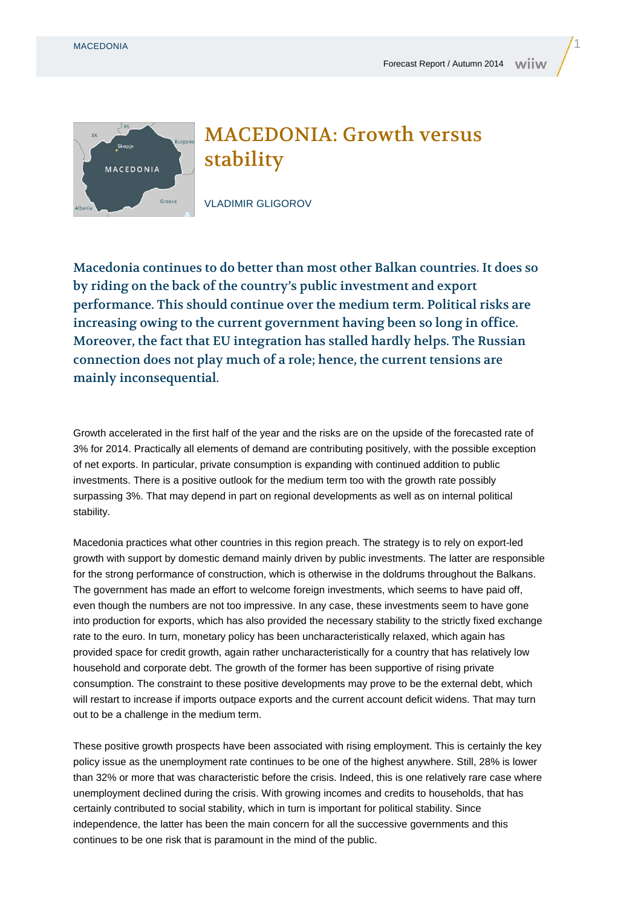



## MACEDONIA: Growth versus stability

VLADIMIR GLIGOROV

Macedonia continues to do better than most other Balkan countries. It does so by riding on the back of the country's public investment and export performance. This should continue over the medium term. Political risks are increasing owing to the current government having been so long in office. Moreover, the fact that EU integration has stalled hardly helps. The Russian connection does not play much of a role; hence, the current tensions are mainly inconsequential.

Growth accelerated in the first half of the year and the risks are on the upside of the forecasted rate of 3% for 2014. Practically all elements of demand are contributing positively, with the possible exception of net exports. In particular, private consumption is expanding with continued addition to public investments. There is a positive outlook for the medium term too with the growth rate possibly surpassing 3%. That may depend in part on regional developments as well as on internal political stability.

Macedonia practices what other countries in this region preach. The strategy is to rely on export-led growth with support by domestic demand mainly driven by public investments. The latter are responsible for the strong performance of construction, which is otherwise in the doldrums throughout the Balkans. The government has made an effort to welcome foreign investments, which seems to have paid off, even though the numbers are not too impressive. In any case, these investments seem to have gone into production for exports, which has also provided the necessary stability to the strictly fixed exchange rate to the euro. In turn, monetary policy has been uncharacteristically relaxed, which again has provided space for credit growth, again rather uncharacteristically for a country that has relatively low household and corporate debt. The growth of the former has been supportive of rising private consumption. The constraint to these positive developments may prove to be the external debt, which will restart to increase if imports outpace exports and the current account deficit widens. That may turn out to be a challenge in the medium term.

These positive growth prospects have been associated with rising employment. This is certainly the key policy issue as the unemployment rate continues to be one of the highest anywhere. Still, 28% is lower than 32% or more that was characteristic before the crisis. Indeed, this is one relatively rare case where unemployment declined during the crisis. With growing incomes and credits to households, that has certainly contributed to social stability, which in turn is important for political stability. Since independence, the latter has been the main concern for all the successive governments and this continues to be one risk that is paramount in the mind of the public.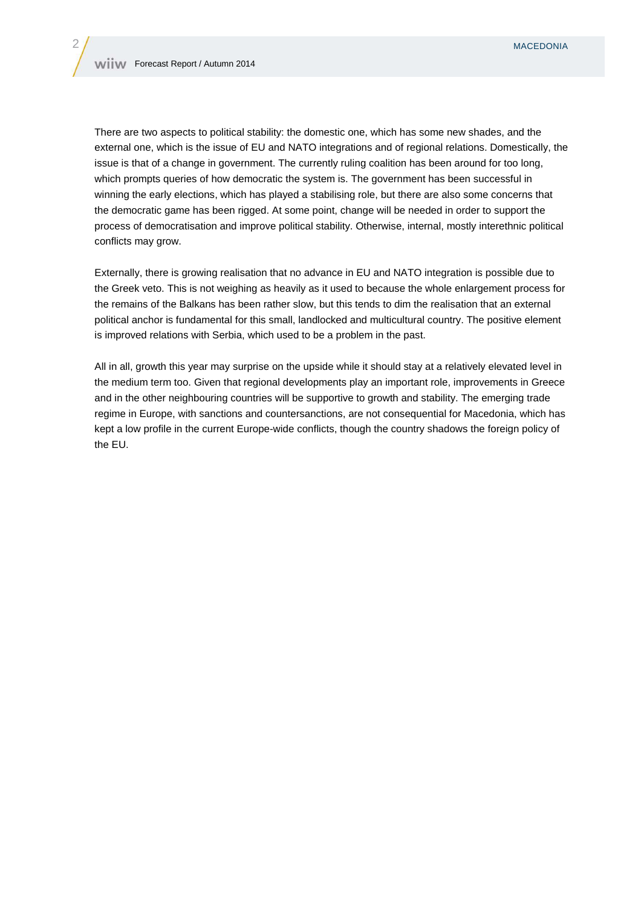There are two aspects to political stability: the domestic one, which has some new shades, and the external one, which is the issue of EU and NATO integrations and of regional relations. Domestically, the issue is that of a change in government. The currently ruling coalition has been around for too long, which prompts queries of how democratic the system is. The government has been successful in winning the early elections, which has played a stabilising role, but there are also some concerns that the democratic game has been rigged. At some point, change will be needed in order to support the process of democratisation and improve political stability. Otherwise, internal, mostly interethnic political conflicts may grow.

Externally, there is growing realisation that no advance in EU and NATO integration is possible due to the Greek veto. This is not weighing as heavily as it used to because the whole enlargement process for the remains of the Balkans has been rather slow, but this tends to dim the realisation that an external political anchor is fundamental for this small, landlocked and multicultural country. The positive element is improved relations with Serbia, which used to be a problem in the past.

All in all, growth this year may surprise on the upside while it should stay at a relatively elevated level in the medium term too. Given that regional developments play an important role, improvements in Greece and in the other neighbouring countries will be supportive to growth and stability. The emerging trade regime in Europe, with sanctions and countersanctions, are not consequential for Macedonia, which has kept a low profile in the current Europe-wide conflicts, though the country shadows the foreign policy of the EU.